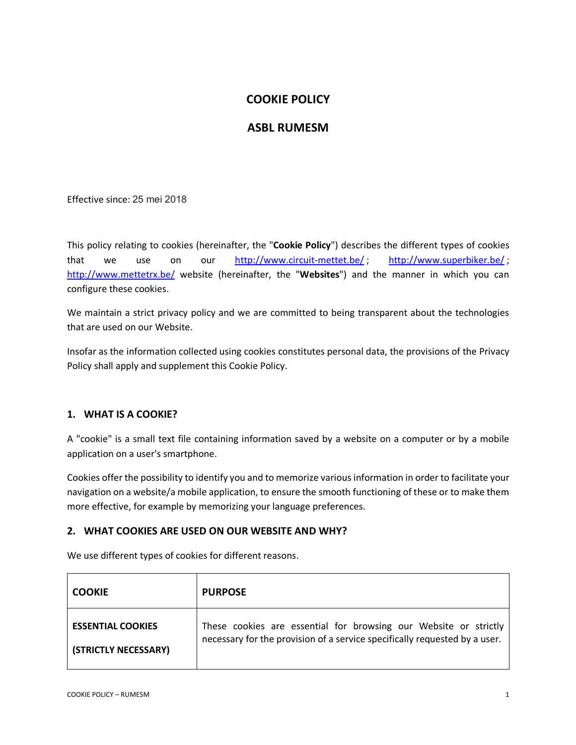# **COOKIE POLICY**

# **ASBL RUMESM**

Effective since: 25 mei 2018

This policy relating to cookies (hereinafter, the "**Cookie Policy**") describes the different types of cookies that we use on our http://www.circuit-mettet.be/ ; http://www.superbiker.be/ ; http://www.mettetrx.be/ website (hereinafter, the "**Websites**") and the manner in which you can configure these cookies.

We maintain a strict privacy policy and we are committed to being transparent about the technologies that are used on our Website.

Insofar as the information collected using cookies constitutes personal data, the provisions of the Privacy Policy shall apply and supplement this Cookie Policy.

## **1. WHAT IS A COOKIE?**

A "cookie" is a small text file containing information saved by a website on a computer or by a mobile application on a user's smartphone.

Cookies offer the possibility to identify you and to memorize various information in order to facilitate your navigation on a website/a mobile application, to ensure the smooth functioning of these or to make them more effective, for example by memorizing your language preferences.

### **2. WHAT COOKIES ARE USED ON OUR WEBSITE AND WHY?**

We use different types of cookies for different reasons.

| <b>COOKIE</b>            | <b>PURPOSE</b>                                                             |
|--------------------------|----------------------------------------------------------------------------|
| <b>ESSENTIAL COOKIES</b> | These cookies are essential for browsing our Website or strictly           |
| (STRICTLY NECESSARY)     | necessary for the provision of a service specifically requested by a user. |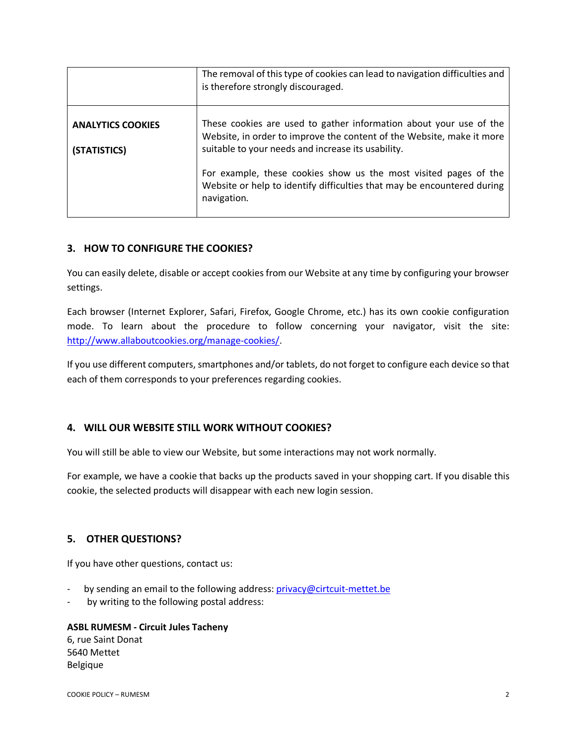|                                          | The removal of this type of cookies can lead to navigation difficulties and<br>is therefore strongly discouraged.                                                                                 |
|------------------------------------------|---------------------------------------------------------------------------------------------------------------------------------------------------------------------------------------------------|
| <b>ANALYTICS COOKIES</b><br>(STATISTICS) | These cookies are used to gather information about your use of the<br>Website, in order to improve the content of the Website, make it more<br>suitable to your needs and increase its usability. |
|                                          | For example, these cookies show us the most visited pages of the<br>Website or help to identify difficulties that may be encountered during<br>navigation.                                        |

# **3. HOW TO CONFIGURE THE COOKIES?**

You can easily delete, disable or accept cookies from our Website at any time by configuring your browser settings.

Each browser (Internet Explorer, Safari, Firefox, Google Chrome, etc.) has its own cookie configuration mode. To learn about the procedure to follow concerning your navigator, visit the site: http://www.allaboutcookies.org/manage-cookies/.

If you use different computers, smartphones and/or tablets, do not forget to configure each device so that each of them corresponds to your preferences regarding cookies.

## **4. WILL OUR WEBSITE STILL WORK WITHOUT COOKIES?**

You will still be able to view our Website, but some interactions may not work normally.

For example, we have a cookie that backs up the products saved in your shopping cart. If you disable this cookie, the selected products will disappear with each new login session.

## **5. OTHER QUESTIONS?**

If you have other questions, contact us:

- by sending an email to the following address: privacy@cirtcuit-mettet.be
- by writing to the following postal address:

### **ASBL RUMESM - Circuit Jules Tacheny**

6, rue Saint Donat 5640 Mettet Belgique